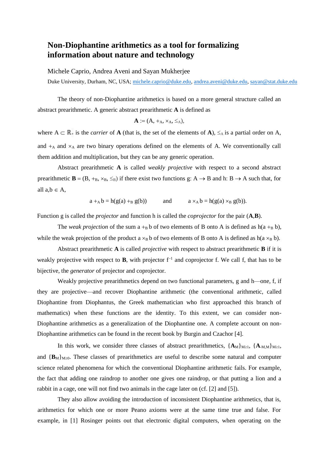## **Non-Diophantine arithmetics as a tool for formalizing information about nature and technology**

Michele Caprio, Andrea Aveni and Sayan Mukherjee

Duke University, Durham, NC, USA; [michele.caprio@duke.edu,](mailto:michele.caprio@duke.edu) [andrea.aveni@duke.edu,](mailto:andrea.aveni@duke.edu) [sayan@stat.duke.edu](mailto:sayan@stat.duke.edu)

The theory of non-Diophantine arithmetics is based on a more general structure called an abstract prearithmetic. A generic abstract prearithmetic **A** is defined as

$$
\mathbf{A}:=(A, +_A, \times_A, \leq_A),
$$

where  $A \subset \mathbb{R}_+$  is the *carrier* of **A** (that is, the set of the elements of **A**),  $\leq_A$  is a partial order on A, and  $+_{A}$  and  $\times_{A}$  are two binary operations defined on the elements of A. We conventionally call them addition and multiplication, but they can be any generic operation.

Abstract prearithmetic **A** is called *weakly projective* with respect to a second abstract prearithmetic  $\mathbf{B} = (\mathbf{B}, +_{\mathbf{B}}, \times_{\mathbf{B}}, \leq_{\mathbf{B}})$  if there exist two functions g: A  $\rightarrow$  B and h: B  $\rightarrow$  A such that, for all  $a,b \in A$ ,

 $a +_{A} b = h(g(a) +_{B} g(b))$  and  $a \times_{A} b = h(g(a) \times_{B} g(b)).$ 

Function g is called the *projector* and function h is called the *coprojector* for the pair (**A***,***B**).

The *weak projection* of the sum  $a + B b$  of two elements of B onto A is defined as  $h(a + B b)$ , while the weak projection of the product a  $\times_B b$  of two elements of B onto A is defined as h(a  $\times_B b$ ).

Abstract prearithmetic **A** is called *projective* with respect to abstract prearithmetic **B** if it is weakly projective with respect to **B**, with projector  $f^{-1}$  and coprojector f. We call f, that has to be bijective, the *generator* of projector and coprojector.

Weakly projective prearithmetics depend on two functional parameters, g and h—one, f, if they are projective—and recover Diophantine arithmetic (the conventional arithmetic, called Diophantine from Diophantus, the Greek mathematician who first approached this branch of mathematics) when these functions are the identity. To this extent, we can consider non-Diophantine arithmetics as a generalization of the Diophantine one. A complete account on non-Diophantine arithmetics can be found in the recent book by Burgin and Czachor [4].

In this work, we consider three classes of abstract prearithmetics,  $\{A_M\}_{M\geq 1}$ ,  $\{A_{-M,M}\}_{M\geq 1}$ , and  ${\bf \{B}_{M}\}_M\geq0$ . These classes of prearithmetics are useful to describe some natural and computer science related phenomena for which the conventional Diophantine arithmetic fails. For example, the fact that adding one raindrop to another one gives one raindrop, or that putting a lion and a rabbit in a cage, one will not find two animals in the cage later on (cf. [2] and [5]).

They also allow avoiding the introduction of inconsistent Diophantine arithmetics, that is, arithmetics for which one or more Peano axioms were at the same time true and false. For example, in [1] Rosinger points out that electronic digital computers, when operating on the